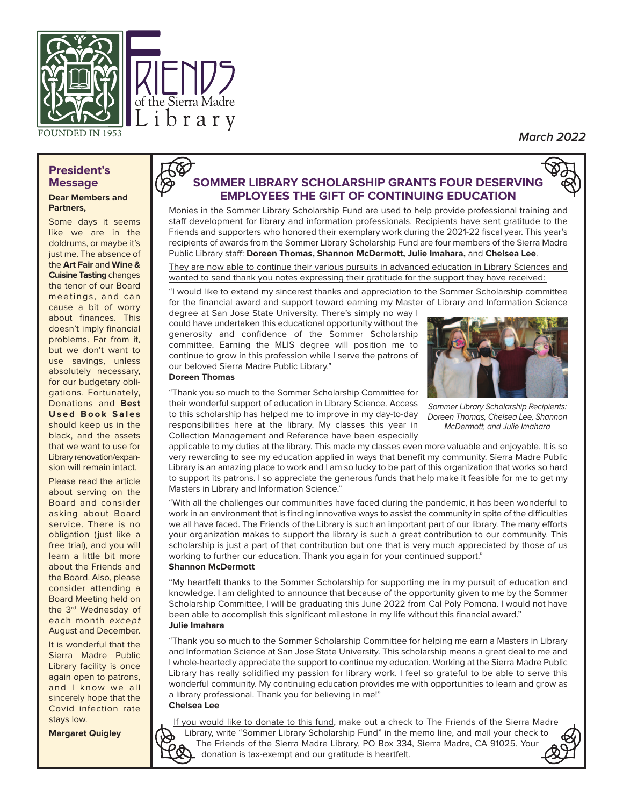

**March 2022**

#### **President's Message Dear Members and**

# **Partners,**

Some days it seems like we are in the doldrums, or maybe it's just me. The absence of the **Art Fair** and **Wine & Cuisine Tasting** changes the tenor of our Board meetings, and can cause a bit of worry about finances. This doesn't imply financial problems. Far from it, but we don't want to use savings, unless absolutely necessary, for our budgetary obligations. Fortunately, Donations and **Best Used Book Sales** should keep us in the black, and the assets that we want to use for Library renovation/expansion will remain intact.

Please read the article about serving on the Board and consider asking about Board service. There is no obligation (just like a free trial), and you will learn a little bit more about the Friends and the Board. Also, please consider attending a Board Meeting held on the 3<sup>rd</sup> Wednesday of each month except August and December.

It is wonderful that the Sierra Madre Public Library facility is once again open to patrons, and I know we all sincerely hope that the Covid infection rate stays low.

**Margaret Quigley**

# **SOMMER LIBRARY SCHOLARSHIP GRANTS FOUR DESERVING EMPLOYEES THE GIFT OF CONTINUING EDUCATION**

Monies in the Sommer Library Scholarship Fund are used to help provide professional training and staff development for library and information professionals. Recipients have sent gratitude to the Friends and supporters who honored their exemplary work during the 2021-22 fiscal year. This year's recipients of awards from the Sommer Library Scholarship Fund are four members of the Sierra Madre Public Library staff: **Doreen Thomas, Shannon McDermott, Julie Imahara,** and **Chelsea Lee**.

They are now able to continue their various pursuits in advanced education in Library Sciences and wanted to send thank you notes expressing their gratitude for the support they have received:

"I would like to extend my sincerest thanks and appreciation to the Sommer Scholarship committee for the financial award and support toward earning my Master of Library and Information Science

degree at San Jose State University. There's simply no way I could have undertaken this educational opportunity without the generosity and confidence of the Sommer Scholarship committee. Earning the MLIS degree will position me to continue to grow in this profession while I serve the patrons of our beloved Sierra Madre Public Library." **Doreen Thomas**

"Thank you so much to the Sommer Scholarship Committee for their wonderful support of education in Library Science. Access to this scholarship has helped me to improve in my day-to-day

Masters in Library and Information Science."



Sommer Library Scholarship Recipients: Doreen Thomas, Chelsea Lee, Shannon McDermott, and Julie Imahara

responsibilities here at the library. My classes this year in Collection Management and Reference have been especially applicable to my duties at the library. This made my classes even more valuable and enjoyable. It is so very rewarding to see my education applied in ways that benefit my community. Sierra Madre Public Library is an amazing place to work and I am so lucky to be part of this organization that works so hard to support its patrons. I so appreciate the generous funds that help make it feasible for me to get my

"With all the challenges our communities have faced during the pandemic, it has been wonderful to work in an environment that is finding innovative ways to assist the community in spite of the difficulties we all have faced. The Friends of the Library is such an important part of our library. The many efforts your organization makes to support the library is such a great contribution to our community. This scholarship is just a part of that contribution but one that is very much appreciated by those of us working to further our education. Thank you again for your continued support." **Shannon McDermott**

"My heartfelt thanks to the Sommer Scholarship for supporting me in my pursuit of education and knowledge. I am delighted to announce that because of the opportunity given to me by the Sommer Scholarship Committee, I will be graduating this June 2022 from Cal Poly Pomona. I would not have been able to accomplish this significant milestone in my life without this financial award." **Julie Imahara**

"Thank you so much to the Sommer Scholarship Committee for helping me earn a Masters in Library and Information Science at San Jose State University. This scholarship means a great deal to me and I whole-heartedly appreciate the support to continue my education. Working at the Sierra Madre Public Library has really solidified my passion for library work. I feel so grateful to be able to serve this wonderful community. My continuing education provides me with opportunities to learn and grow as a library professional. Thank you for believing in me!" **Chelsea Lee**

If you would like to donate to this fund, make out a check to The Friends of the Sierra Madre Library, write "Sommer Library Scholarship Fund" in the memo line, and mail your check to The Friends of the Sierra Madre Library, PO Box 334, Sierra Madre, CA 91025. Your donation is tax-exempt and our gratitude is heartfelt.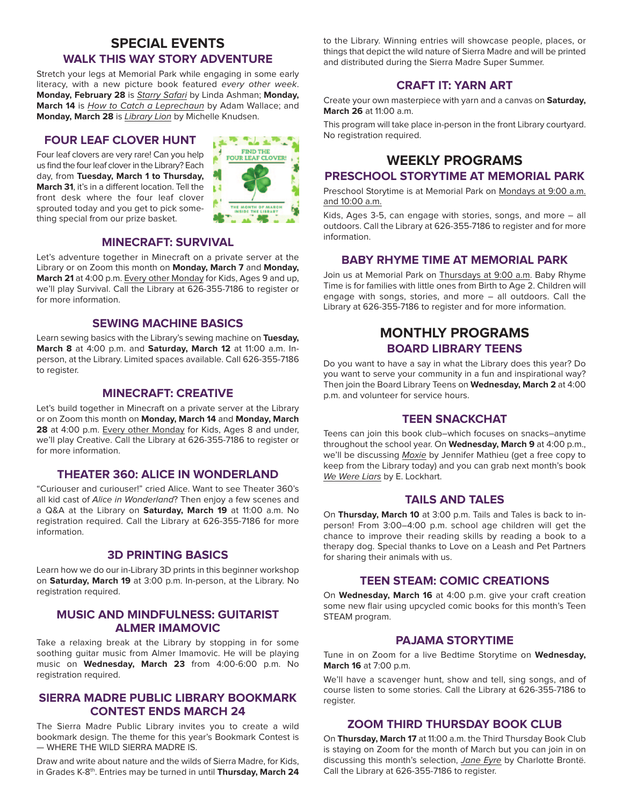## **SPECIAL EVENTS WALK THIS WAY STORY ADVENTURE**

Stretch your legs at Memorial Park while engaging in some early literacy, with a new picture book featured every other week. **Monday, February 28** is Starry Safari by Linda Ashman; **Monday,** March 14 is *How to Catch a Leprechaun* by Adam Wallace; and **Monday, March 28** is Library Lion by Michelle Knudsen.

### **FOUR LEAF CLOVER HUNT**

Four leaf clovers are very rare! Can you help us find the four leaf clover in the Library? Each day, from **Tuesday, March 1 to Thursday, March 31**, it's in a different location. Tell the front desk where the four leaf clover sprouted today and you get to pick some thing special from our prize basket.



#### **MINECRAFT: SURVIVAL**

Let's adventure together in Minecraft on a private server at the Library or on Zoom this month on **Monday, March 7** and **Monday, March 21** at 4:00 p.m. Every other Monday for Kids, Ages 9 and up, we'll play Survival. Call the Library at 626-355-7186 to register or for more information.

#### **SEWING MACHINE BASICS**

Learn sewing basics with the Library's sewing machine on **Tuesday, March 8** at 4:00 p.m. and **Saturday, March 12** at 11:00 a.m. Inperson, at the Library. Limited spaces available. Call 626-355-7186 to register.

#### **MINECRAFT: CREATIVE**

Let's build together in Minecraft on a private server at the Library or on Zoom this month on **Monday, March 14** and **Monday, March 28** at 4:00 p.m. Every other Monday for Kids, Ages 8 and under, we'll play Creative. Call the Library at 626-355-7186 to register or for more information.

#### **THEATER 360: ALICE IN WONDERLAND**

"Curiouser and curiouser!" cried Alice. Want to see Theater 360's all kid cast of Alice in Wonderland? Then enjoy a few scenes and a Q&A at the Library on **Saturday, March 19** at 11:00 a.m. No registration required. Call the Library at 626-355-7186 for more information.

#### **3D PRINTING BASICS**

Learn how we do our in-Library 3D prints in this beginner workshop on **Saturday, March 19** at 3:00 p.m. In-person, at the Library. No registration required.

#### **MUSIC AND MINDFULNESS: GUITARIST ALMER IMAMOVIC**

Take a relaxing break at the Library by stopping in for some soothing guitar music from Almer Imamovic. He will be playing music on **Wednesday, March 23** from 4:00-6:00 p.m. No registration required.

#### **SIERRA MADRE PUBLIC LIBRARY BOOKMARK CONTEST ENDS MARCH 24**

The Sierra Madre Public Library invites you to create a wild bookmark design. The theme for this year's Bookmark Contest is — WHERE THE WILD SIERRA MADRE IS.

Draw and write about nature and the wilds of Sierra Madre, for Kids, in Grades K-8th. Entries may be turned in until **Thursday, March 24** to the Library. Winning entries will showcase people, places, or things that depict the wild nature of Sierra Madre and will be printed and distributed during the Sierra Madre Super Summer.

## **CRAFT IT: YARN ART**

Create your own masterpiece with yarn and a canvas on **Saturday, March 26** at 11:00 a.m.

This program will take place in-person in the front Library courtyard. No registration required.

# **WEEKLY PROGRAMS**

### **PRESCHOOL STORYTIME AT MEMORIAL PARK**

Preschool Storytime is at Memorial Park on Mondays at 9:00 a.m. and 10:00 a.m.

Kids, Ages 3-5, can engage with stories, songs, and more – all outdoors. Call the Library at 626-355-7186 to register and for more information.

#### **BABY RHYME TIME AT MEMORIAL PARK**

Join us at Memorial Park on Thursdays at 9:00 a.m. Baby Rhyme Time is for families with little ones from Birth to Age 2. Children will engage with songs, stories, and more – all outdoors. Call the Library at 626-355-7186 to register and for more information.

## **MONTHLY PROGRAMS BOARD LIBRARY TEENS**

Do you want to have a say in what the Library does this year? Do you want to serve your community in a fun and inspirational way? Then join the Board Library Teens on **Wednesday, March 2** at 4:00 p.m. and volunteer for service hours.

#### **TEEN SNACKCHAT**

Teens can join this book club–which focuses on snacks–anytime throughout the school year. On **Wednesday, March 9** at 4:00 p.m., we'll be discussing Moxie by Jennifer Mathieu (get a free copy to keep from the Library today) and you can grab next month's book We Were Liars by E. Lockhart.

#### **TAILS AND TALES**

On **Thursday, March 10** at 3:00 p.m. Tails and Tales is back to inperson! From 3:00–4:00 p.m. school age children will get the chance to improve their reading skills by reading a book to a therapy dog. Special thanks to Love on a Leash and Pet Partners for sharing their animals with us.

#### **TEEN STEAM: COMIC CREATIONS**

On **Wednesday, March 16** at 4:00 p.m. give your craft creation some new flair using upcycled comic books for this month's Teen STEAM program.

#### **PAJAMA STORYTIME**

Tune in on Zoom for a live Bedtime Storytime on **Wednesday, March 16** at 7:00 p.m.

We'll have a scavenger hunt, show and tell, sing songs, and of course listen to some stories. Call the Library at 626-355-7186 to register.

#### **ZOOM THIRD THURSDAY BOOK CLUB**

On **Thursday, March 17** at 11:00 a.m. the Third Thursday Book Club is staying on Zoom for the month of March but you can join in on discussing this month's selection, Jane Eyre by Charlotte Brontë. Call the Library at 626-355-7186 to register.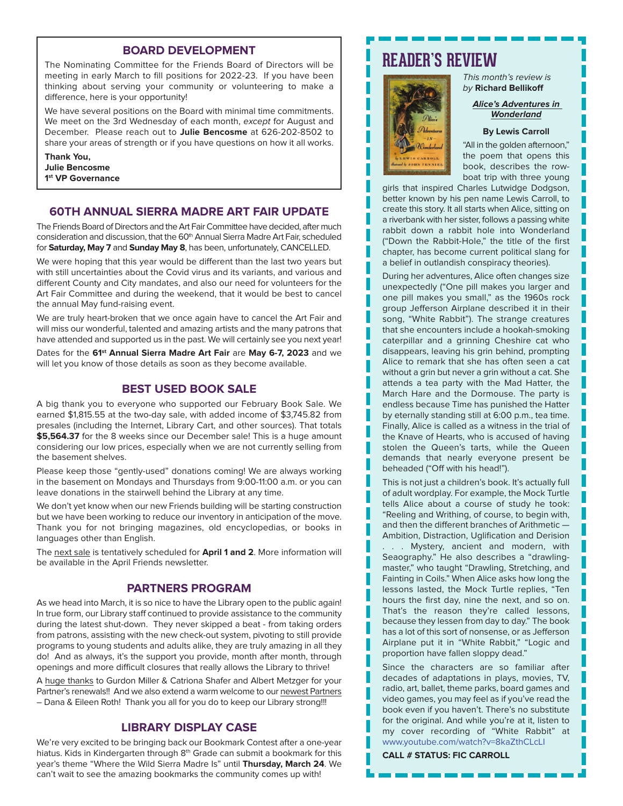#### **BOARD DEVELOPMENT**

The Nominating Committee for the Friends Board of Directors will be meeting in early March to fill positions for 2022-23. If you have been thinking about serving your community or volunteering to make a difference, here is your opportunity!

We have several positions on the Board with minimal time commitments. We meet on the 3rd Wednesday of each month, except for August and December. Please reach out to **Julie Bencosme** at 626-202-8502 to share your areas of strength or if you have questions on how it all works.

**Thank You, Julie Bencosme 1st VP Governance**

#### **60TH ANNUAL SIERRA MADRE ART FAIR UPDATE**

The Friends Board of Directors and the Art Fair Committee have decided, after much consideration and discussion, that the  $60<sup>th</sup>$  Annual Sierra Madre Art Fair, scheduled for **Saturday, May 7** and **Sunday May 8**, has been, unfortunately, CANCELLED.

We were hoping that this year would be different than the last two years but with still uncertainties about the Covid virus and its variants, and various and different County and City mandates, and also our need for volunteers for the Art Fair Committee and during the weekend, that it would be best to cancel the annual May fund-raising event.

We are truly heart-broken that we once again have to cancel the Art Fair and will miss our wonderful, talented and amazing artists and the many patrons that have attended and supported us in the past. We will certainly see you next year!

Dates for the **61st Annual Sierra Madre Art Fair** are **May 6-7, 2023** and we will let you know of those details as soon as they become available.

#### **BEST USED BOOK SALE**

A big thank you to everyone who supported our February Book Sale. We earned \$1,815.55 at the two-day sale, with added income of \$3,745.82 from presales (including the Internet, Library Cart, and other sources). That totals \$5,564.37 for the 8 weeks since our December sale! This is a huge amount considering our low prices, especially when we are not currently selling from the basement shelves.

Please keep those "gently-used" donations coming! We are always working in the basement on Mondays and Thursdays from 9:00-11:00 a.m. or you can leave donations in the stairwell behind the Library at any time.

We don't yet know when our new Friends building will be starting construction but we have been working to reduce our inventory in anticipation of the move. Thank you for not bringing magazines, old encyclopedias, or books in languages other than English.

The next sale is tentatively scheduled for **April 1 and 2**. More information will be available in the April Friends newsletter.

#### **PARTNERS PROGRAM**

As we head into March, it is so nice to have the Library open to the public again! In true form, our Library staff continued to provide assistance to the community during the latest shut-down. They never skipped a beat - from taking orders from patrons, assisting with the new check-out system, pivoting to still provide programs to young students and adults alike, they are truly amazing in all they do! And as always, it's the support you provide, month after month, through openings and more difficult closures that really allows the Library to thrive!

A huge thanks to Gurdon Miller & Catriona Shafer and Albert Metzger for your Partner's renewals!! And we also extend a warm welcome to our newest Partners – Dana & Eileen Roth! Thank you all for you do to keep our Library strong!!!

#### **LIBRARY DISPLAY CASE**

We're very excited to be bringing back our Bookmark Contest after a one-year hiatus. Kids in Kindergarten through 8<sup>th</sup> Grade can submit a bookmark for this year's theme "Where the Wild Sierra Madre Is" until **Thursday, March 24**. We can't wait to see the amazing bookmarks the community comes up with!

# **READER'S REVIEW**



This month's review is by **Richard Bellikoff**

#### **Alice's Adventures in Wonderland**

#### **By Lewis Carroll**

"All in the golden afternoon," the poem that opens this book, describes the rowboat trip with three young

girls that inspired Charles Lutwidge Dodgson, better known by his pen name Lewis Carroll, to create this story. It all starts when Alice, sitting on a riverbank with her sister, follows a passing white rabbit down a rabbit hole into Wonderland ("Down the Rabbit-Hole," the title of the first chapter, has become current political slang for a belief in outlandish conspiracy theories).

During her adventures, Alice often changes size unexpectedly ("One pill makes you larger and one pill makes you small," as the 1960s rock group Jefferson Airplane described it in their song, "White Rabbit"). The strange creatures that she encounters include a hookah-smoking caterpillar and a grinning Cheshire cat who disappears, leaving his grin behind, prompting Alice to remark that she has often seen a cat without a grin but never a grin without a cat. She attends a tea party with the Mad Hatter, the March Hare and the Dormouse. The party is endless because Time has punished the Hatter by eternally standing still at 6:00 p.m., tea time. Finally, Alice is called as a witness in the trial of the Knave of Hearts, who is accused of having stolen the Queen's tarts, while the Queen demands that nearly everyone present be beheaded ("Off with his head!").

This is not just a children's book. It's actually full of adult wordplay. For example, the Mock Turtle tells Alice about a course of study he took: "Reeling and Writhing, of course, to begin with, and then the different branches of Arithmetic — Ambition, Distraction, Uglification and Derision . . . Mystery, ancient and modern, with Seaography." He also describes a "drawlingmaster," who taught "Drawling, Stretching, and Fainting in Coils." When Alice asks how long the lessons lasted, the Mock Turtle replies, "Ten hours the first day, nine the next, and so on. That's the reason they're called lessons, because they lessen from day to day." The book has a lot of this sort of nonsense, or as Jefferson Airplane put it in "White Rabbit," "Logic and proportion have fallen sloppy dead."

Since the characters are so familiar after decades of adaptations in plays, movies, TV, radio, art, ballet, theme parks, board games and video games, you may feel as if you've read the book even if you haven't. There's no substitute for the original. And while you're at it, listen to my cover recording of "White Rabbit" at www.youtube.com/watch?v=8kaZthCLcLI

H

H

**CALL # STATUS: FIC CARROLL**